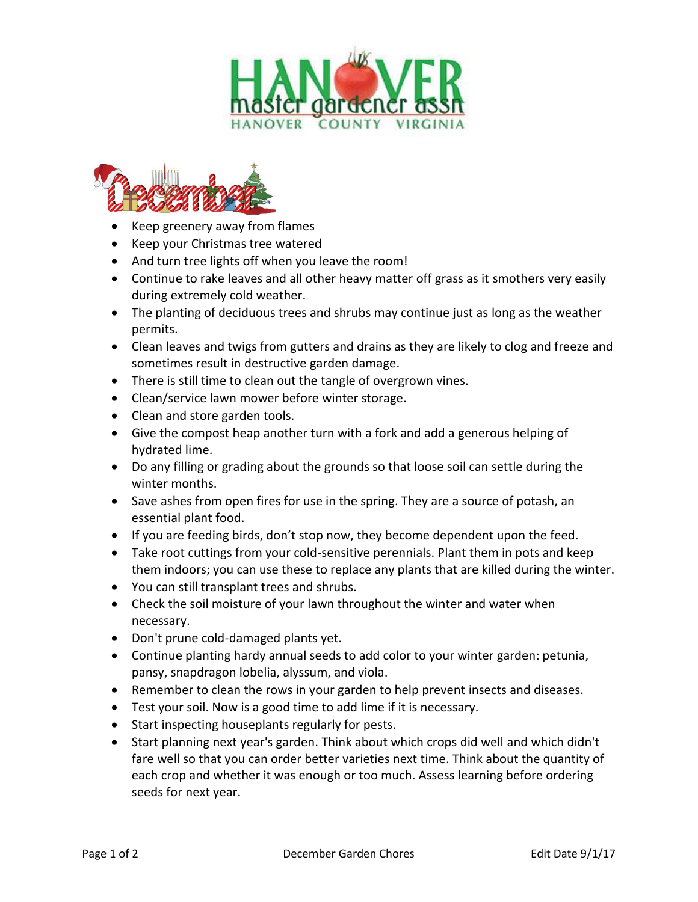



- Keep greenery away from flames
- Keep your Christmas tree watered
- And turn tree lights off when you leave the room!
- Continue to rake leaves and all other heavy matter off grass as it smothers very easily during extremely cold weather.
- The planting of deciduous trees and shrubs may continue just as long as the weather permits.
- Clean leaves and twigs from gutters and drains as they are likely to clog and freeze and sometimes result in destructive garden damage.
- There is still time to clean out the tangle of overgrown vines.
- Clean/service lawn mower before winter storage.
- Clean and store garden tools.
- Give the compost heap another turn with a fork and add a generous helping of hydrated lime.
- Do any filling or grading about the grounds so that loose soil can settle during the winter months.
- Save ashes from open fires for use in the spring. They are a source of potash, an essential plant food.
- If you are feeding birds, don't stop now, they become dependent upon the feed.
- Take root cuttings from your cold-sensitive perennials. Plant them in pots and keep them indoors; you can use these to replace any plants that are killed during the winter.
- You can still transplant trees and shrubs.
- Check the soil moisture of your lawn throughout the winter and water when necessary.
- Don't prune cold-damaged plants yet.
- Continue planting hardy annual seeds to add color to your winter garden: petunia, pansy, snapdragon lobelia, alyssum, and viola.
- Remember to clean the rows in your garden to help prevent insects and diseases.
- Test your soil. Now is a good time to add lime if it is necessary.
- Start inspecting houseplants regularly for pests.
- Start planning next year's garden. Think about which crops did well and which didn't fare well so that you can order better varieties next time. Think about the quantity of each crop and whether it was enough or too much. Assess learning before ordering seeds for next year.